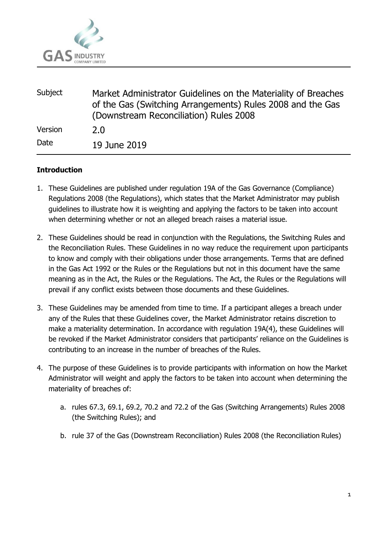

| Subject | Market Administrator Guidelines on the Materiality of Breaches<br>of the Gas (Switching Arrangements) Rules 2008 and the Gas<br>(Downstream Reconciliation) Rules 2008 |
|---------|------------------------------------------------------------------------------------------------------------------------------------------------------------------------|
| Version | 2.0                                                                                                                                                                    |
| Date    | 19 June 2019                                                                                                                                                           |

## **Introduction**

- 1. These Guidelines are published under regulation 19A of the Gas Governance (Compliance) Regulations 2008 (the Regulations), which states that the Market Administrator may publish guidelines to illustrate how it is weighting and applying the factors to be taken into account when determining whether or not an alleged breach raises a material issue.
- 2. These Guidelines should be read in conjunction with the Regulations, the Switching Rules and the Reconciliation Rules. These Guidelines in no way reduce the requirement upon participants to know and comply with their obligations under those arrangements. Terms that are defined in the Gas Act 1992 or the Rules or the Regulations but not in this document have the same meaning as in the Act, the Rules or the Regulations. The Act, the Rules or the Regulations will prevail if any conflict exists between those documents and these Guidelines.
- 3. These Guidelines may be amended from time to time. If a participant alleges a breach under any of the Rules that these Guidelines cover, the Market Administrator retains discretion to make a materiality determination. In accordance with regulation 19A(4), these Guidelines will be revoked if the Market Administrator considers that participants' reliance on the Guidelines is contributing to an increase in the number of breaches of the Rules.
- 4. The purpose of these Guidelines is to provide participants with information on how the Market Administrator will weight and apply the factors to be taken into account when determining the materiality of breaches of:
	- a. rules 67.3, 69.1, 69.2, 70.2 and 72.2 of the Gas (Switching Arrangements) Rules 2008 (the Switching Rules); and
	- b. rule 37 of the Gas (Downstream Reconciliation) Rules 2008 (the Reconciliation Rules)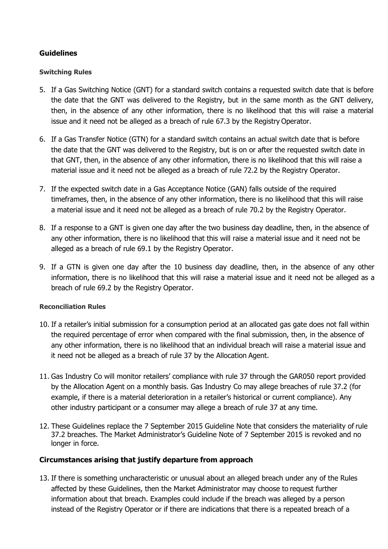# **Guidelines**

### **Switching Rules**

- 5. If a Gas Switching Notice (GNT) for a standard switch contains a requested switch date that is before the date that the GNT was delivered to the Registry, but in the same month as the GNT delivery, then, in the absence of any other information, there is no likelihood that this will raise a material issue and it need not be alleged as a breach of rule 67.3 by the Registry Operator.
- 6. If a Gas Transfer Notice (GTN) for a standard switch contains an actual switch date that is before the date that the GNT was delivered to the Registry, but is on or after the requested switch date in that GNT, then, in the absence of any other information, there is no likelihood that this will raise a material issue and it need not be alleged as a breach of rule 72.2 by the Registry Operator.
- 7. If the expected switch date in a Gas Acceptance Notice (GAN) falls outside of the required timeframes, then, in the absence of any other information, there is no likelihood that this will raise a material issue and it need not be alleged as a breach of rule 70.2 by the Registry Operator.
- 8. If a response to a GNT is given one day after the two business day deadline, then, in the absence of any other information, there is no likelihood that this will raise a material issue and it need not be alleged as a breach of rule 69.1 by the Registry Operator.
- 9. If a GTN is given one day after the 10 business day deadline, then, in the absence of any other information, there is no likelihood that this will raise a material issue and it need not be alleged as a breach of rule 69.2 by the Registry Operator.

### **Reconciliation Rules**

- 10. If a retailer's initial submission for a consumption period at an allocated gas gate does not fall within the required percentage of error when compared with the final submission, then, in the absence of any other information, there is no likelihood that an individual breach will raise a material issue and it need not be alleged as a breach of rule 37 by the Allocation Agent.
- 11. Gas Industry Co will monitor retailers' compliance with rule 37 through the GAR050 report provided by the Allocation Agent on a monthly basis. Gas Industry Co may allege breaches of rule 37.2 (for example, if there is a material deterioration in a retailer's historical or current compliance). Any other industry participant or a consumer may allege a breach of rule 37 at any time.
- 12. These Guidelines replace the 7 September 2015 Guideline Note that considers the materiality of rule 37.2 breaches. The Market Administrator's Guideline Note of 7 September 2015 is revoked and no longer in force.

# **Circumstances arising that justify departure from approach**

13. If there is something uncharacteristic or unusual about an alleged breach under any of the Rules affected by these Guidelines, then the Market Administrator may choose to request further information about that breach. Examples could include if the breach was alleged by a person instead of the Registry Operator or if there are indications that there is a repeated breach of a